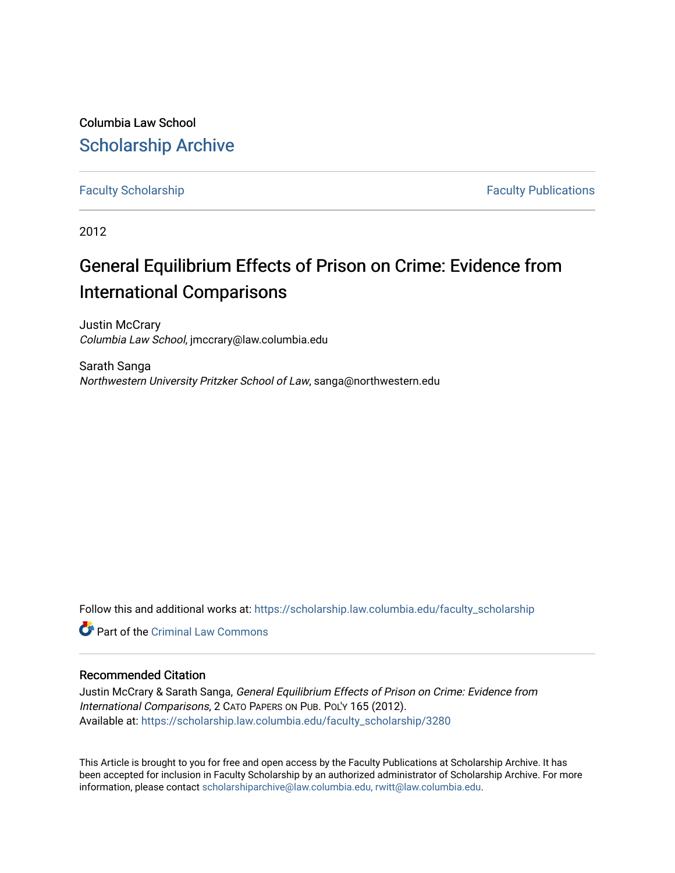Columbia Law School [Scholarship Archive](https://scholarship.law.columbia.edu/) 

[Faculty Scholarship](https://scholarship.law.columbia.edu/faculty_scholarship) **Faculty Scholarship Faculty Publications** 

2012

# General Equilibrium Effects of Prison on Crime: Evidence from International Comparisons

Justin McCrary Columbia Law School, jmccrary@law.columbia.edu

Sarath Sanga Northwestern University Pritzker School of Law, sanga@northwestern.edu

Follow this and additional works at: [https://scholarship.law.columbia.edu/faculty\\_scholarship](https://scholarship.law.columbia.edu/faculty_scholarship?utm_source=scholarship.law.columbia.edu%2Ffaculty_scholarship%2F3280&utm_medium=PDF&utm_campaign=PDFCoverPages)

**C** Part of the Criminal Law Commons

### Recommended Citation

Justin McCrary & Sarath Sanga, General Equilibrium Effects of Prison on Crime: Evidence from International Comparisons, 2 CATO PAPERS ON PUB. POL'Y 165 (2012). Available at: [https://scholarship.law.columbia.edu/faculty\\_scholarship/3280](https://scholarship.law.columbia.edu/faculty_scholarship/3280?utm_source=scholarship.law.columbia.edu%2Ffaculty_scholarship%2F3280&utm_medium=PDF&utm_campaign=PDFCoverPages)

This Article is brought to you for free and open access by the Faculty Publications at Scholarship Archive. It has been accepted for inclusion in Faculty Scholarship by an authorized administrator of Scholarship Archive. For more information, please contact [scholarshiparchive@law.columbia.edu, rwitt@law.columbia.edu](mailto:scholarshiparchive@law.columbia.edu,%20rwitt@law.columbia.edu).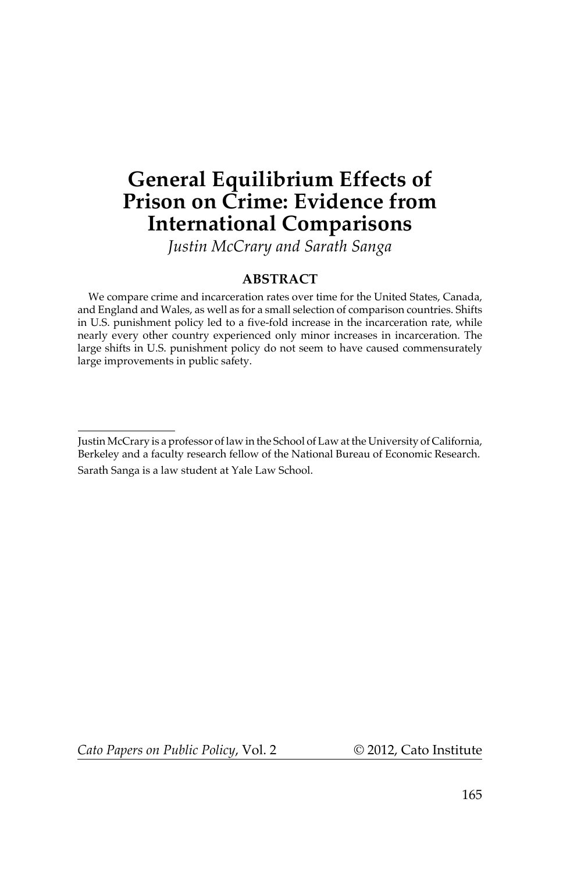## **General Equilibrium Effects of Prison on Crime: Evidence from International Comparisons**

 *Justin McCrary and Sarath Sanga* 

#### **ABSTRACT**

 We compare crime and incarceration rates over time for the United States, Canada, and England and Wales, as well as for a small selection of comparison countries. Shifts in U.S. punishment policy led to a five-fold increase in the incarceration rate, while nearly every other country experienced only minor increases in incarceration. The large shifts in U.S. punishment policy do not seem to have caused commensurately large improvements in public safety.

*Cato Papers on Public Policy*, Vol. 2 © 2012, Cato Institute

Justin McCrary is a professor of law in the School of Law at the University of California, Berkeley and a faculty research fellow of the National Bureau of Economic Research. Sarath Sanga is a law student at Yale Law School.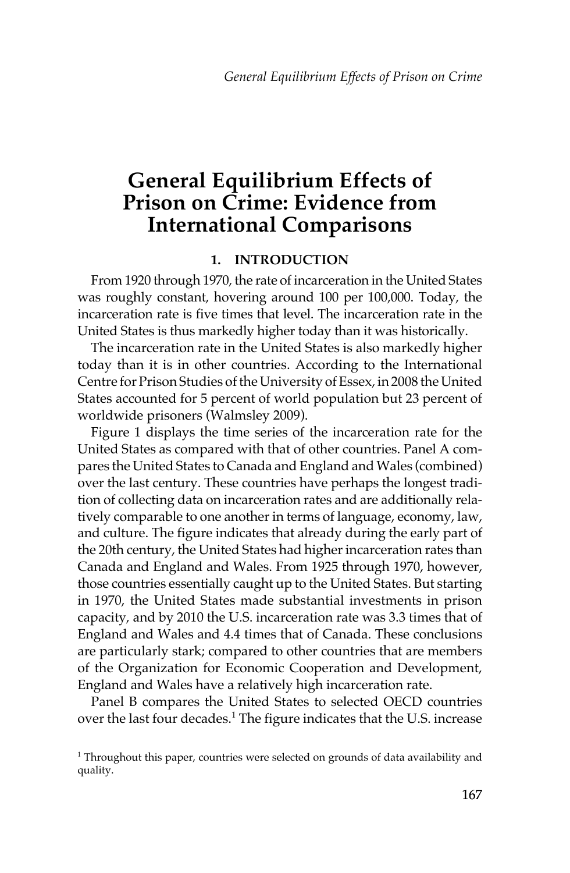## **General Equilibrium Effects of Prison on Crime: Evidence from International Comparisons**

### **1. INTRODUCTION**

 From 1920 through 1970, the rate of incarceration in the United States was roughly constant, hovering around 100 per 100,000. Today, the incarceration rate is five times that level. The incarceration rate in the United States is thus markedly higher today than it was historically.

 The incarceration rate in the United States is also markedly higher today than it is in other countries. According to the International Centre for Prison Studies of the University of Essex, in 2008 the United States accounted for 5 percent of world population but 23 percent of worldwide prisoners (Walmsley 2009).

 Figure 1 displays the time series of the incarceration rate for the United States as compared with that of other countries. Panel A compares the United States to Canada and England and Wales (combined) over the last century. These countries have perhaps the longest tradition of collecting data on incarceration rates and are additionally relatively comparable to one another in terms of language, economy, law, and culture. The figure indicates that already during the early part of the 20th century, the United States had higher incarceration rates than Canada and England and Wales. From 1925 through 1970, however, those countries essentially caught up to the United States. But starting in 1970, the United States made substantial investments in prison capacity, and by 2010 the U.S. incarceration rate was 3.3 times that of England and Wales and 4.4 times that of Canada. These conclusions are particularly stark; compared to other countries that are members of the Organization for Economic Cooperation and Development, England and Wales have a relatively high incarceration rate.

 Panel B compares the United States to selected OECD countries over the last four decades.<sup>1</sup> The figure indicates that the U.S. increase

 $1$  Throughout this paper, countries were selected on grounds of data availability and quality.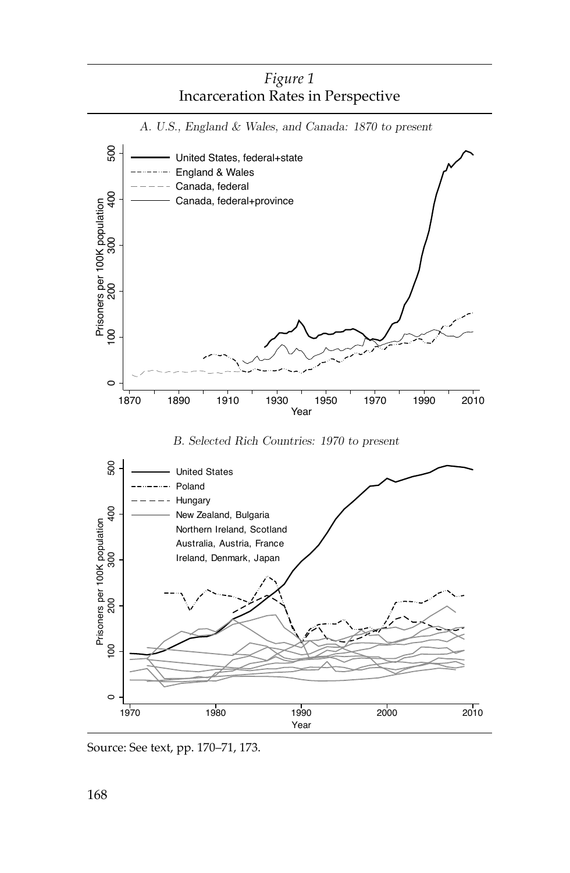



Source: See text, pp. 170–71, 173.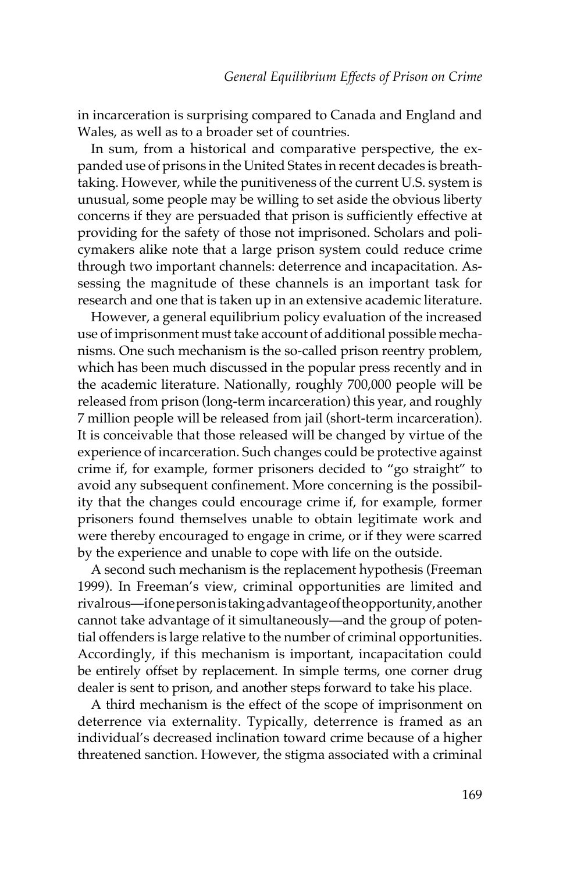in incarceration is surprising compared to Canada and England and Wales, as well as to a broader set of countries.

 In sum, from a historical and comparative perspective, the expanded use of prisons in the United States in recent decades is breathtaking. However, while the punitiveness of the current U.S. system is unusual, some people may be willing to set aside the obvious liberty concerns if they are persuaded that prison is sufficiently effective at providing for the safety of those not imprisoned. Scholars and policymakers alike note that a large prison system could reduce crime through two important channels: deterrence and incapacitation. Assessing the magnitude of these channels is an important task for research and one that is taken up in an extensive academic literature.

 However, a general equilibrium policy evaluation of the increased use of imprisonment must take account of additional possible mechanisms. One such mechanism is the so-called prison reentry problem, which has been much discussed in the popular press recently and in the academic literature. Nationally, roughly 700,000 people will be released from prison (long-term incarceration) this year, and roughly 7 million people will be released from jail (short-term incarceration). It is conceivable that those released will be changed by virtue of the experience of incarceration. Such changes could be protective against crime if, for example, former prisoners decided to "go straight" to avoid any subsequent confinement. More concerning is the possibility that the changes could encourage crime if, for example, former prisoners found themselves unable to obtain legitimate work and were thereby encouraged to engage in crime, or if they were scarred by the experience and unable to cope with life on the outside.

A second such mechanism is the replacement hypothesis (Freeman 1999). In Freeman's view, criminal opportunities are limited and rivalrous—if one person is taking advantage of the opportunity, another cannot take advantage of it simultaneously—and the group of potential offenders is large relative to the number of criminal opportunities. Accordingly, if this mechanism is important, incapacitation could be entirely offset by replacement. In simple terms, one corner drug dealer is sent to prison, and another steps forward to take his place.

 A third mechanism is the effect of the scope of imprisonment on deterrence via externality. Typically, deterrence is framed as an individual's decreased inclination toward crime because of a higher threatened sanction. However, the stigma associated with a criminal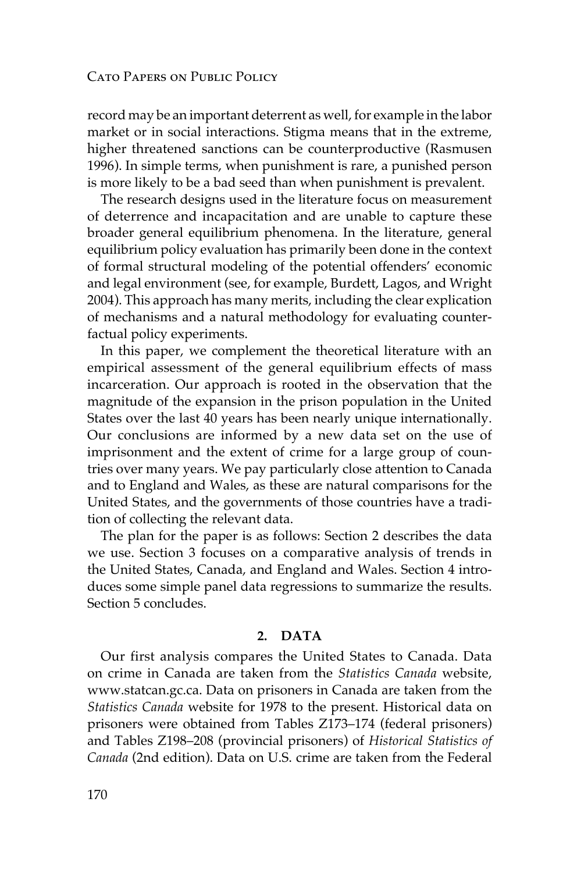record may be an important deterrent as well, for example in the labor market or in social interactions. Stigma means that in the extreme, higher threatened sanctions can be counterproductive (Rasmusen 1996). In simple terms, when punishment is rare, a punished person is more likely to be a bad seed than when punishment is prevalent.

 The research designs used in the literature focus on measurement of deterrence and incapacitation and are unable to capture these broader general equilibrium phenomena. In the literature, general equilibrium policy evaluation has primarily been done in the context of formal structural modeling of the potential offenders' economic and legal environment (see, for example, Burdett, Lagos, and Wright 2004). This approach has many merits, including the clear explication of mechanisms and a natural methodology for evaluating counterfactual policy experiments.

 In this paper, we complement the theoretical literature with an empirical assessment of the general equilibrium effects of mass incarceration. Our approach is rooted in the observation that the magnitude of the expansion in the prison population in the United States over the last 40 years has been nearly unique internationally. Our conclusions are informed by a new data set on the use of imprisonment and the extent of crime for a large group of countries over many years. We pay particularly close attention to Canada and to England and Wales, as these are natural comparisons for the United States, and the governments of those countries have a tradition of collecting the relevant data.

 The plan for the paper is as follows: Section 2 describes the data we use. Section 3 focuses on a comparative analysis of trends in the United States, Canada, and England and Wales. Section 4 introduces some simple panel data regressions to summarize the results. Section 5 concludes.

#### **2. DATA**

 Our first analysis compares the United States to Canada. Data on crime in Canada are taken from the *Statistics Canada* website, www.statcan.gc.ca. Data on prisoners in Canada are taken from the *Statistics Canada* website for 1978 to the present. Historical data on prisoners were obtained from Tables Z173–174 (federal prisoners) and Tables Z198–208 (provincial prisoners) of *Historical Statistics of Canada* (2nd edition). Data on U.S. crime are taken from the Federal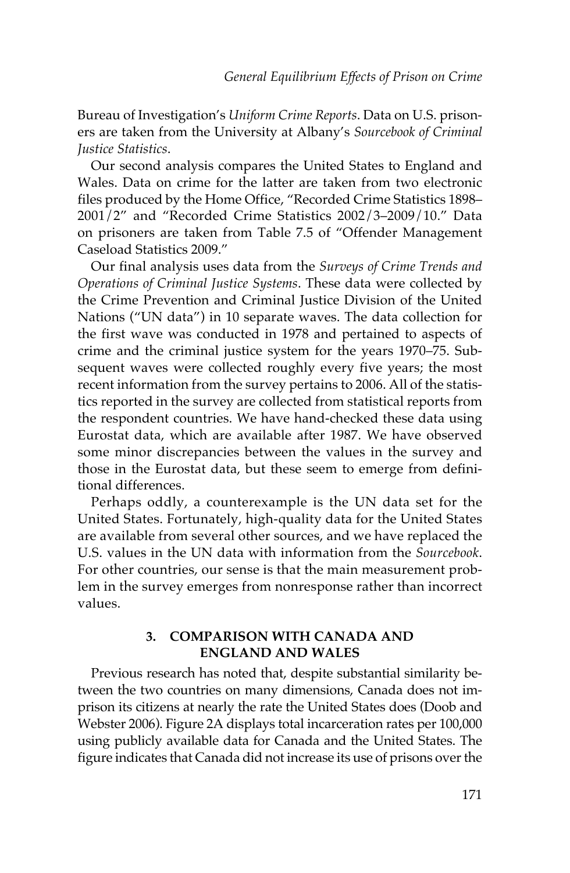Bureau of Investigation's *Uniform Crime Reports* . Data on U.S. prisoners are taken from the University at Albany's *Sourcebook of Criminal Justice Statistics* .

 Our second analysis compares the United States to England and Wales. Data on crime for the latter are taken from two electronic files produced by the Home Office, "Recorded Crime Statistics 1898– 2001/2" and "Recorded Crime Statistics 2002/3–2009/10." Data on prisoners are taken from Table 7.5 of "Offender Management Caseload Statistics 2009."

 Our final analysis uses data from the *Surveys of Crime Trends and Operations of Criminal Justice Systems* . These data were collected by the Crime Prevention and Criminal Justice Division of the United Nations ("UN data") in 10 separate waves. The data collection for the first wave was conducted in 1978 and pertained to aspects of crime and the criminal justice system for the years 1970–75. Subsequent waves were collected roughly every five years; the most recent information from the survey pertains to 2006. All of the statistics reported in the survey are collected from statistical reports from the respondent countries. We have hand-checked these data using Eurostat data, which are available after 1987. We have observed some minor discrepancies between the values in the survey and those in the Eurostat data, but these seem to emerge from definitional differences.

 Perhaps oddly, a counterexample is the UN data set for the United States. Fortunately, high-quality data for the United States are available from several other sources, and we have replaced the U.S. values in the UN data with information from the *Sourcebook* . For other countries, our sense is that the main measurement problem in the survey emerges from nonresponse rather than incorrect values.

#### **3. COMPARISON WITH CANADA AND ENGLAND AND WALES**

 Previous research has noted that, despite substantial similarity between the two countries on many dimensions, Canada does not imprison its citizens at nearly the rate the United States does (Doob and Webster 2006). Figure 2A displays total incarceration rates per 100,000 using publicly available data for Canada and the United States. The figure indicates that Canada did not increase its use of prisons over the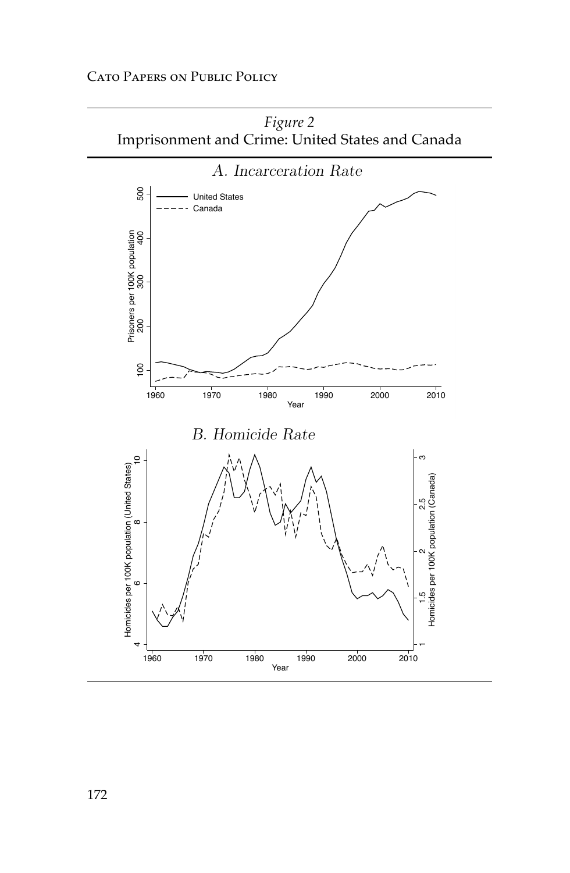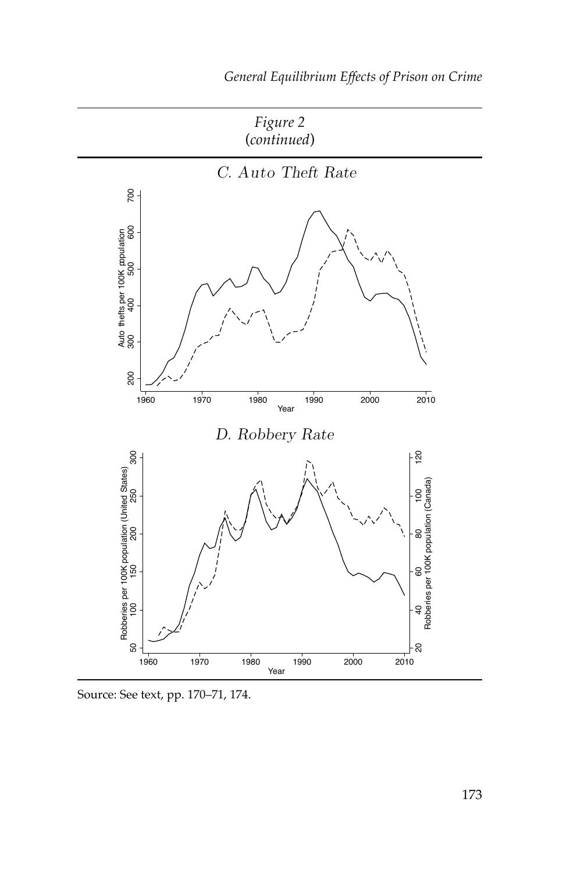

Source: See text, pp. 170–71, 174.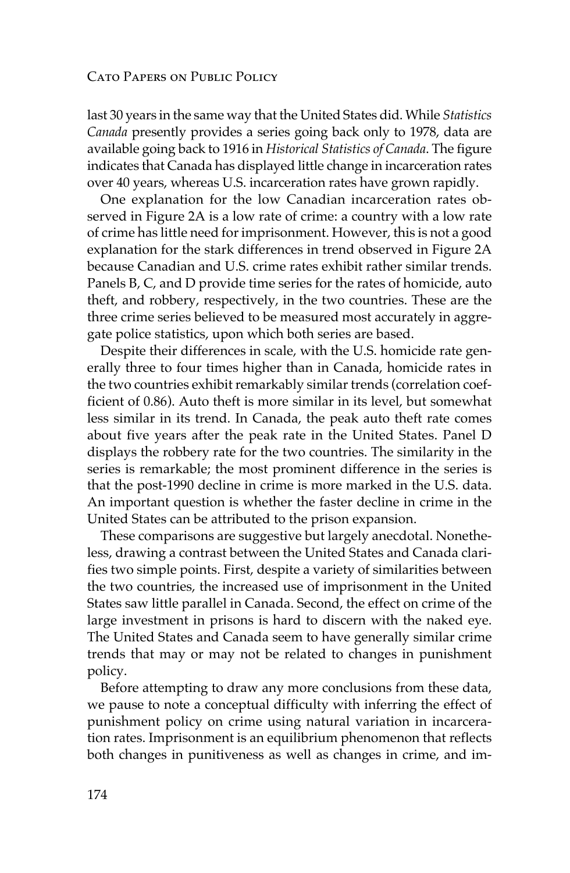last 30 years in the same way that the United States did. While *Statistics Canada* presently provides a series going back only to 1978, data are available going back to 1916 in *Historical Statistics of Canada* . The figure indicates that Canada has displayed little change in incarceration rates over 40 years, whereas U.S. incarceration rates have grown rapidly.

 One explanation for the low Canadian incarceration rates observed in Figure 2A is a low rate of crime: a country with a low rate of crime has little need for imprisonment. However, this is not a good explanation for the stark differences in trend observed in Figure 2A because Canadian and U.S. crime rates exhibit rather similar trends. Panels B, C, and D provide time series for the rates of homicide, auto theft, and robbery, respectively, in the two countries. These are the three crime series believed to be measured most accurately in aggregate police statistics, upon which both series are based.

 Despite their differences in scale, with the U.S. homicide rate generally three to four times higher than in Canada, homicide rates in the two countries exhibit remarkably similar trends (correlation coefficient of 0.86). Auto theft is more similar in its level, but somewhat less similar in its trend. In Canada, the peak auto theft rate comes about five years after the peak rate in the United States. Panel D displays the robbery rate for the two countries. The similarity in the series is remarkable; the most prominent difference in the series is that the post-1990 decline in crime is more marked in the U.S. data. An important question is whether the faster decline in crime in the United States can be attributed to the prison expansion.

 These comparisons are suggestive but largely anecdotal. Nonetheless, drawing a contrast between the United States and Canada clarifies two simple points. First, despite a variety of similarities between the two countries, the increased use of imprisonment in the United States saw little parallel in Canada. Second, the effect on crime of the large investment in prisons is hard to discern with the naked eye. The United States and Canada seem to have generally similar crime trends that may or may not be related to changes in punishment policy.

 Before attempting to draw any more conclusions from these data, we pause to note a conceptual difficulty with inferring the effect of punishment policy on crime using natural variation in incarceration rates. Imprisonment is an equilibrium phenomenon that reflects both changes in punitiveness as well as changes in crime, and im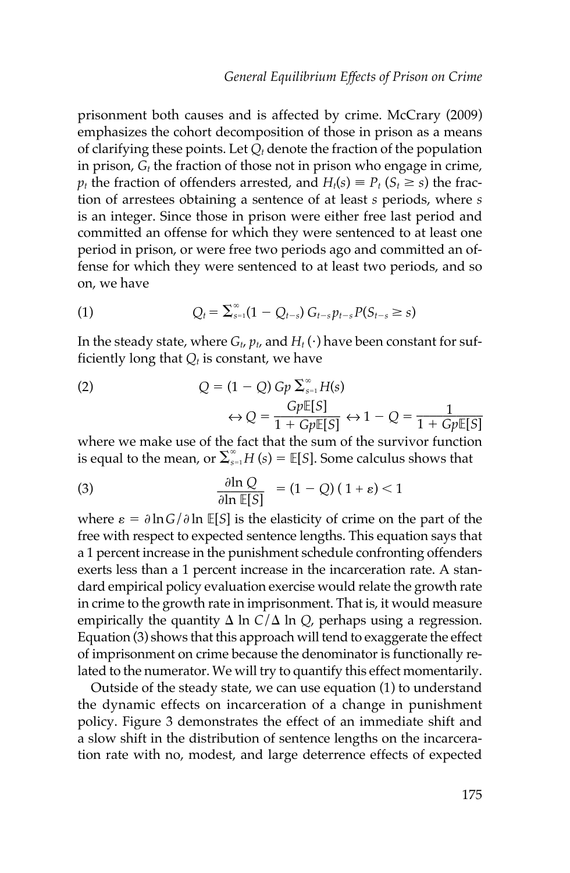prisonment both causes and is affected by crime. McCrary (2009) emphasizes the cohort decomposition of those in prison as a means of clarifying these points. Let  $Q_t$  denote the fraction of the population in prison,  $G_t$  the fraction of those not in prison who engage in crime,  $p_t$  the fraction of offenders arrested, and  $H_t(s) \equiv P_t$  ( $S_t \ge s$ ) the fraction of arrestees obtaining a sentence of at least *s* periods, where *s* is an integer. Since those in prison were either free last period and committed an offense for which they were sentenced to at least one period in prison, or were free two periods ago and committed an offense for which they were sentenced to at least two periods, and so on, we have

(1) 
$$
Q_t = \sum_{s=1}^{\infty} (1 - Q_{t-s}) G_{t-s} p_{t-s} P(S_{t-s} \ge s)
$$

In the steady state, where  $G_t$ ,  $p_t$ , and  $H_t(\cdot)$  have been constant for sufficiently long that  $Q_t$  is constant, we have

(2) 
$$
Q = (1 - Q) Gp \sum_{s=1}^{\infty} H(s)
$$

$$
\Leftrightarrow Q = \frac{Gp \mathbb{E}[S]}{1 + Gp \mathbb{E}[S]} \Leftrightarrow 1 - Q = \frac{1}{1 + Gp \mathbb{E}[S]}
$$

 where we make use of the fact that the sum of the survivor function is equal to the mean, or  $\sum_{s=1}^{\infty} H(s) = \mathbb{E}[S]$ . Some calculus shows that

(3) 
$$
\frac{\partial \ln Q}{\partial \ln \mathbb{E}[S]} = (1 - Q) (1 + \varepsilon) < 1
$$

where  $\varepsilon = \partial \ln G / \partial \ln \mathbb{E}[S]$  is the elasticity of crime on the part of the free with respect to expected sentence lengths. This equation says that a 1 percent increase in the punishment schedule confronting offenders exerts less than a 1 percent increase in the incarceration rate. A standard empirical policy evaluation exercise would relate the growth rate in crime to the growth rate in imprisonment. That is, it would measure empirically the quantity  $\Delta$  ln  $C/\Delta$  ln  $Q$ , perhaps using a regression. Equation (3) shows that this approach will tend to exaggerate the effect of imprisonment on crime because the denominator is functionally related to the numerator. We will try to quantify this effect momentarily.

 Outside of the steady state, we can use equation (1) to understand the dynamic effects on incarceration of a change in punishment policy. Figure 3 demonstrates the effect of an immediate shift and a slow shift in the distribution of sentence lengths on the incarceration rate with no, modest, and large deterrence effects of expected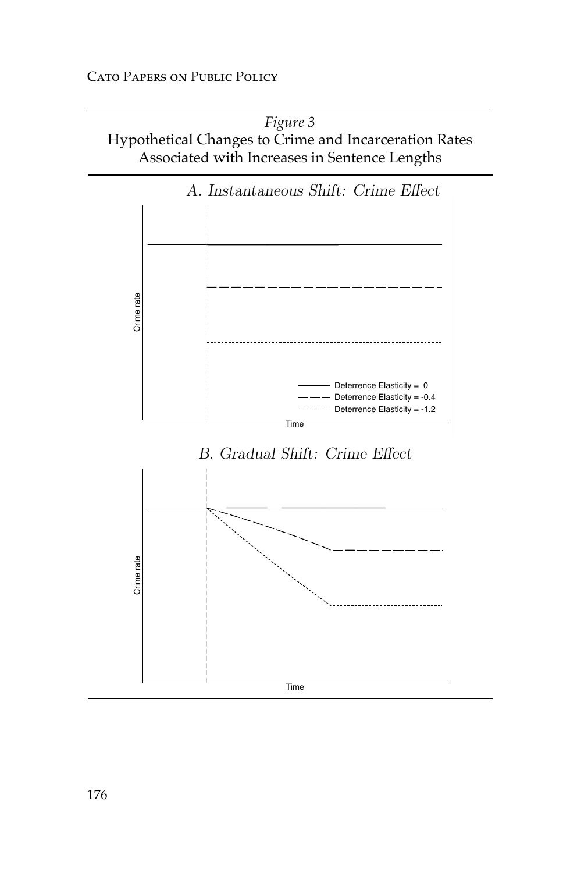*Figure 3* Hypothetical Changes to Crime and Incarceration Rates Associated with Increases in Sentence Lengths

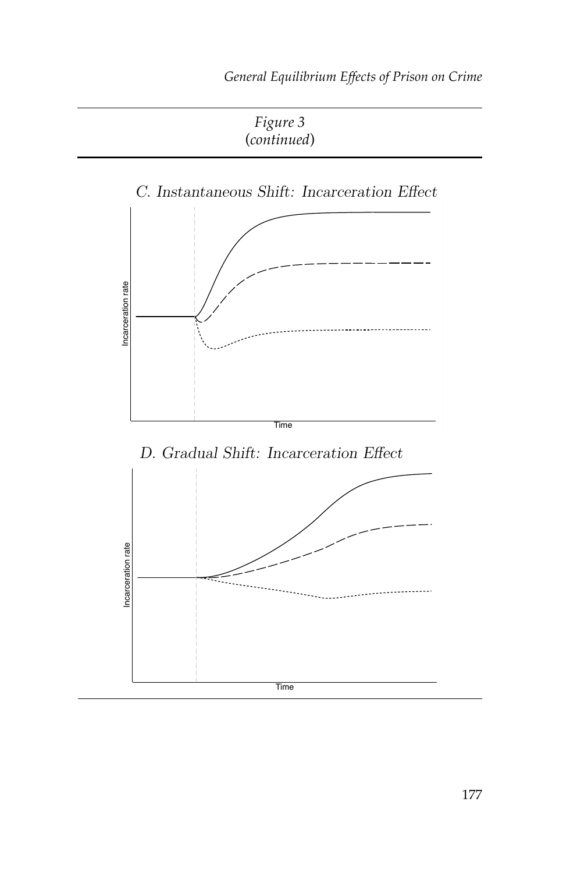*Figure 3* (*continued*)

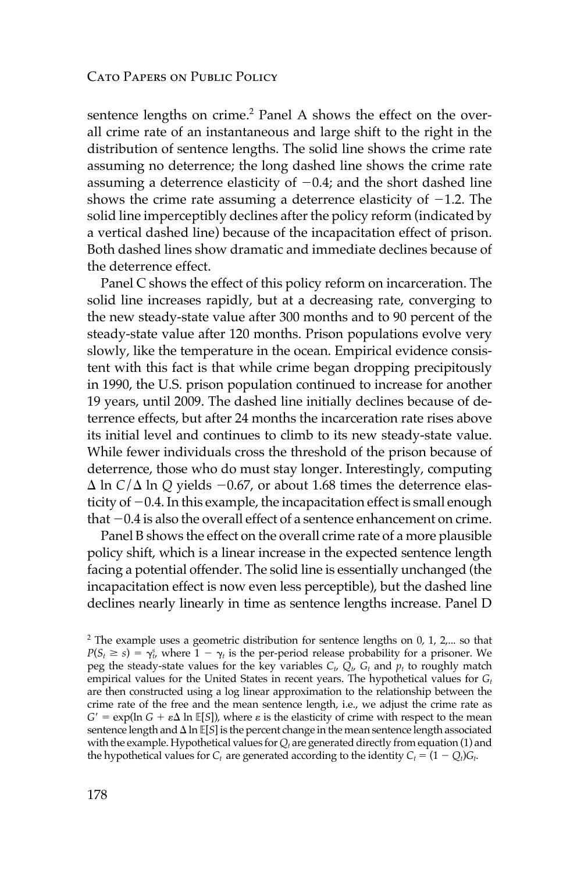sentence lengths on crime.<sup>2</sup> Panel A shows the effect on the overall crime rate of an instantaneous and large shift to the right in the distribution of sentence lengths. The solid line shows the crime rate assuming no deterrence; the long dashed line shows the crime rate assuming a deterrence elasticity of  $-0.4$ ; and the short dashed line shows the crime rate assuming a deterrence elasticity of  $-1.2$ . The solid line imperceptibly declines after the policy reform (indicated by a vertical dashed line) because of the incapacitation effect of prison. Both dashed lines show dramatic and immediate declines because of the deterrence effect.

 Panel C shows the effect of this policy reform on incarceration. The solid line increases rapidly, but at a decreasing rate, converging to the new steady-state value after 300 months and to 90 percent of the steady-state value after 120 months. Prison populations evolve very slowly, like the temperature in the ocean. Empirical evidence consistent with this fact is that while crime began dropping precipitously in 1990, the U.S. prison population continued to increase for another 19 years, until 2009. The dashed line initially declines because of deterrence effects, but after 24 months the incarceration rate rises above its initial level and continues to climb to its new steady-state value. While fewer individuals cross the threshold of the prison because of deterrence, those who do must stay longer. Interestingly, computing  $\Delta$  ln *C*/ $\Delta$  ln *Q* yields  $-0.67$ , or about 1.68 times the deterrence elasticity of  $-0.4$ . In this example, the incapacitation effect is small enough that  $-0.4$  is also the overall effect of a sentence enhancement on crime.

 Panel B shows the effect on the overall crime rate of a more plausible policy shift, which is a linear increase in the expected sentence length facing a potential offender. The solid line is essentially unchanged (the incapacitation effect is now even less perceptible), but the dashed line declines nearly linearly in time as sentence lengths increase. Panel D

 $2^2$  The example uses a geometric distribution for sentence lengths on 0, 1, 2,... so that  $P(S_t \ge s) = \gamma_{t}^s$ , where  $1 - \gamma_t$  is the per-period release probability for a prisoner. We peg the steady-state values for the key variables  $C_t$ ,  $Q_t$ ,  $G_t$  and  $p_t$  to roughly match empirical values for the United States in recent years. The hypothetical values for *G<sub>t</sub>* are then constructed using a log linear approximation to the relationship between the crime rate of the free and the mean sentence length, i.e., we adjust the crime rate as  $G' = \exp(\ln G + \epsilon \Delta \ln \mathbb{E}[S])$ , where  $\epsilon$  is the elasticity of crime with respect to the mean sentence length and  $\Delta \ln \mathbb{E}[S]$  is the percent change in the mean sentence length associated with the example. Hypothetical values for  $Q_t$  are generated directly from equation (1) and the hypothetical values for  $C_t$  are generated according to the identity  $C_t = (1 - Q_t)G_t$ .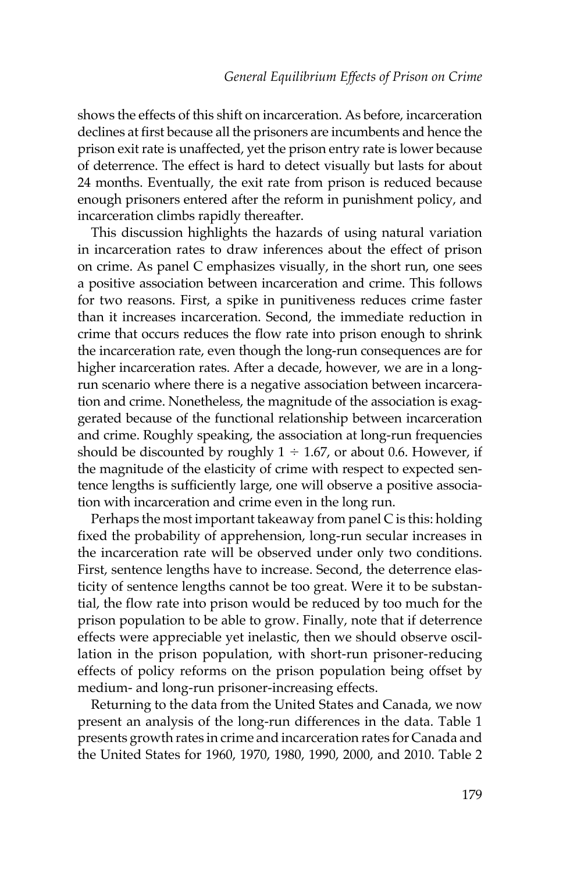shows the effects of this shift on incarceration. As before, incarceration declines at first because all the prisoners are incumbents and hence the prison exit rate is unaffected, yet the prison entry rate is lower because of deterrence. The effect is hard to detect visually but lasts for about 24 months. Eventually, the exit rate from prison is reduced because enough prisoners entered after the reform in punishment policy, and incarceration climbs rapidly thereafter.

 This discussion highlights the hazards of using natural variation in incarceration rates to draw inferences about the effect of prison on crime. As panel C emphasizes visually, in the short run, one sees a positive association between incarceration and crime. This follows for two reasons. First, a spike in punitiveness reduces crime faster than it increases incarceration. Second, the immediate reduction in crime that occurs reduces the flow rate into prison enough to shrink the incarceration rate, even though the long-run consequences are for higher incarceration rates. After a decade, however, we are in a longrun scenario where there is a negative association between incarceration and crime. Nonetheless, the magnitude of the association is exaggerated because of the functional relationship between incarceration and crime. Roughly speaking, the association at long-run frequencies should be discounted by roughly  $1 \div 1.67$ , or about 0.6. However, if the magnitude of the elasticity of crime with respect to expected sentence lengths is sufficiently large, one will observe a positive association with incarceration and crime even in the long run.

 Perhaps the most important takeaway from panel C is this: holding fixed the probability of apprehension, long-run secular increases in the incarceration rate will be observed under only two conditions. First, sentence lengths have to increase. Second, the deterrence elasticity of sentence lengths cannot be too great. Were it to be substantial, the flow rate into prison would be reduced by too much for the prison population to be able to grow. Finally, note that if deterrence effects were appreciable yet inelastic, then we should observe oscillation in the prison population, with short-run prisoner-reducing effects of policy reforms on the prison population being offset by medium- and long-run prisoner-increasing effects.

 Returning to the data from the United States and Canada, we now present an analysis of the long-run differences in the data. Table 1 presents growth rates in crime and incarceration rates for Canada and the United States for 1960, 1970, 1980, 1990, 2000, and 2010. Table 2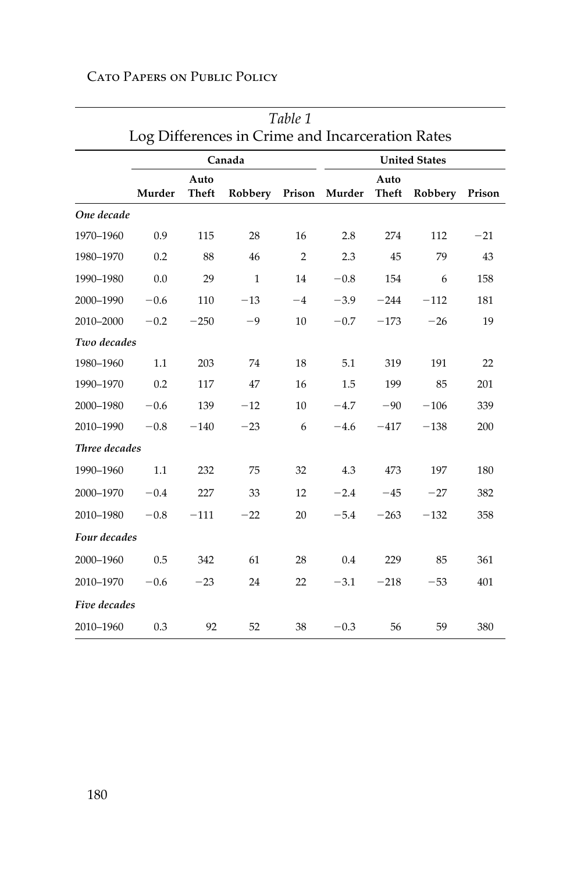|               | Table 1 |                      |                                                  |                |        |               |                      |        |
|---------------|---------|----------------------|--------------------------------------------------|----------------|--------|---------------|----------------------|--------|
|               |         |                      | Log Differences in Crime and Incarceration Rates |                |        |               |                      |        |
|               |         |                      | Canada                                           |                |        |               | <b>United States</b> |        |
|               | Murder  | Auto<br><b>Theft</b> | Robbery                                          | Prison         | Murder | Auto<br>Theft | Robbery              | Prison |
| One decade    |         |                      |                                                  |                |        |               |                      |        |
| 1970-1960     | 0.9     | 115                  | 28                                               | 16             | 2.8    | 274           | 112                  | $-21$  |
| 1980-1970     | 0.2     | 88                   | 46                                               | $\overline{2}$ | 2.3    | 45            | 79                   | 43     |
| 1990-1980     | 0.0     | 29                   | 1                                                | 14             | $-0.8$ | 154           | 6                    | 158    |
| 2000-1990     | $-0.6$  | 110                  | $-13$                                            | $-4$           | $-3.9$ | $-244$        | $-112$               | 181    |
| 2010-2000     | $-0.2$  | $-250$               | $-9$                                             | 10             | $-0.7$ | $-173$        | $-26$                | 19     |
| Two decades   |         |                      |                                                  |                |        |               |                      |        |
| 1980-1960     | 1.1     | 203                  | 74                                               | 18             | 5.1    | 319           | 191                  | 22     |
| 1990-1970     | 0.2     | 117                  | 47                                               | 16             | 1.5    | 199           | 85                   | 201    |
| 2000-1980     | $-0.6$  | 139                  | $-12$                                            | 10             | $-4.7$ | $-90$         | $-106$               | 339    |
| 2010-1990     | $-0.8$  | $-140$               | $-23$                                            | 6              | $-4.6$ | $-417$        | $-138$               | 200    |
| Three decades |         |                      |                                                  |                |        |               |                      |        |
| 1990-1960     | 1.1     | 232                  | 75                                               | 32             | 4.3    | 473           | 197                  | 180    |
| 2000-1970     | $-0.4$  | 227                  | 33                                               | 12             | $-2.4$ | $-45$         | $-27$                | 382    |
| 2010-1980     | $-0.8$  | $-111$               | $-22$                                            | 20             | $-5.4$ | $-263$        | $-132$               | 358    |
| Four decades  |         |                      |                                                  |                |        |               |                      |        |
| 2000-1960     | 0.5     | 342                  | 61                                               | 28             | 0.4    | 229           | 85                   | 361    |
| 2010-1970     | $-0.6$  | $-23$                | 24                                               | 22             | $-3.1$ | $-218$        | $-53$                | 401    |
| Five decades  |         |                      |                                                  |                |        |               |                      |        |
| 2010-1960     | 0.3     | 92                   | 52                                               | 38             | $-0.3$ | 56            | 59                   | 380    |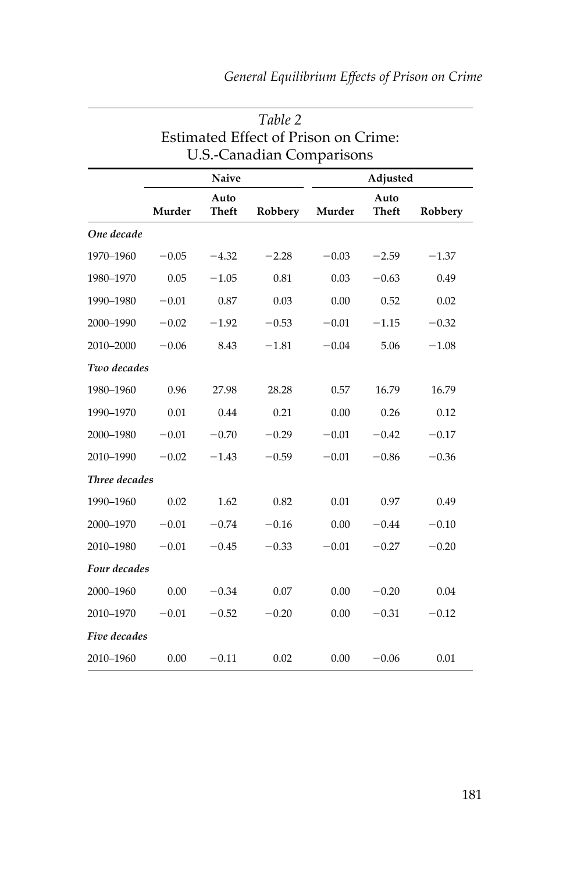|               |         |               | Table 2                              |         |               |         |
|---------------|---------|---------------|--------------------------------------|---------|---------------|---------|
|               |         |               | Estimated Effect of Prison on Crime: |         |               |         |
|               |         |               | <b>U.S.-Canadian Comparisons</b>     |         |               |         |
|               |         | <b>Naive</b>  |                                      |         | Adjusted      |         |
|               | Murder  | Auto<br>Theft | Robbery                              | Murder  | Auto<br>Theft | Robbery |
| One decade    |         |               |                                      |         |               |         |
| 1970-1960     | $-0.05$ | $-4.32$       | $-2.28$                              | $-0.03$ | $-2.59$       | $-1.37$ |
| 1980-1970     | 0.05    | $-1.05$       | 0.81                                 | 0.03    | $-0.63$       | 0.49    |
| 1990-1980     | $-0.01$ | 0.87          | 0.03                                 | 0.00    | 0.52          | 0.02    |
| 2000-1990     | $-0.02$ | $-1.92$       | $-0.53$                              | $-0.01$ | $-1.15$       | $-0.32$ |
| 2010-2000     | $-0.06$ | 8.43          | $-1.81$                              | $-0.04$ | 5.06          | $-1.08$ |
| Two decades   |         |               |                                      |         |               |         |
| 1980-1960     | 0.96    | 27.98         | 28.28                                | 0.57    | 16.79         | 16.79   |
| 1990-1970     | 0.01    | 0.44          | 0.21                                 | 0.00    | 0.26          | 0.12    |
| 2000-1980     | $-0.01$ | $-0.70$       | $-0.29$                              | $-0.01$ | $-0.42$       | $-0.17$ |
| 2010-1990     | $-0.02$ | $-1.43$       | $-0.59$                              | $-0.01$ | $-0.86$       | $-0.36$ |
| Three decades |         |               |                                      |         |               |         |
| 1990-1960     | 0.02    | 1.62          | 0.82                                 | 0.01    | 0.97          | 0.49    |
| 2000-1970     | $-0.01$ | $-0.74$       | $-0.16$                              | 0.00    | $-0.44$       | $-0.10$ |
| 2010-1980     | $-0.01$ | $-0.45$       | $-0.33$                              | $-0.01$ | $-0.27$       | $-0.20$ |
| Four decades  |         |               |                                      |         |               |         |
| 2000-1960     | 0.00    | $-0.34$       | 0.07                                 | 0.00    | $-0.20$       | 0.04    |
| 2010-1970     | $-0.01$ | $-0.52$       | $-0.20$                              | 0.00    | $-0.31$       | $-0.12$ |
| Five decades  |         |               |                                      |         |               |         |
| 2010-1960     | 0.00    | $-0.11$       | 0.02                                 | 0.00    | $-0.06$       | 0.01    |

## *General Equilibrium Effects of Prison on Crime*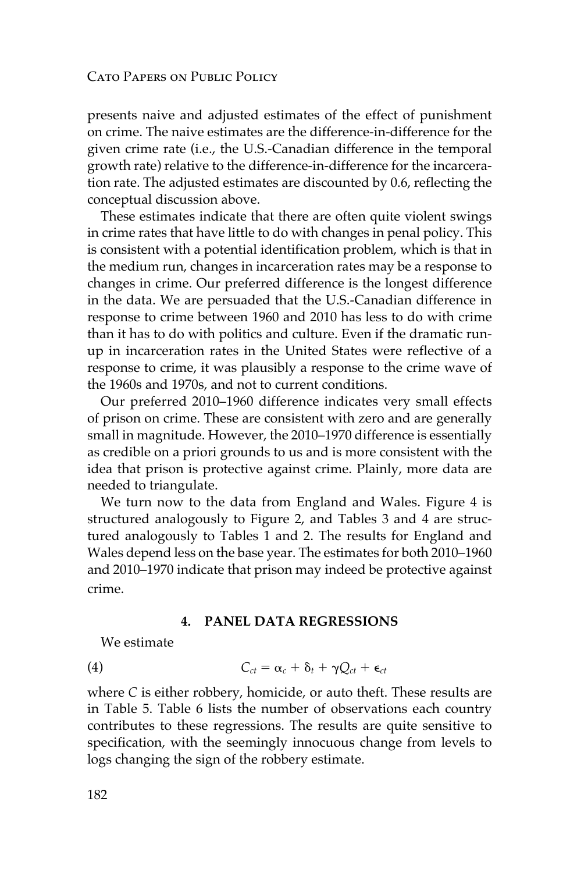presents naive and adjusted estimates of the effect of punishment on crime. The naive estimates are the difference-in-difference for the given crime rate (i.e., the U.S.-Canadian difference in the temporal growth rate) relative to the difference-in-difference for the incarceration rate. The adjusted estimates are discounted by 0.6, reflecting the conceptual discussion above.

 These estimates indicate that there are often quite violent swings in crime rates that have little to do with changes in penal policy. This is consistent with a potential identification problem, which is that in the medium run, changes in incarceration rates may be a response to changes in crime. Our preferred difference is the longest difference in the data. We are persuaded that the U.S.-Canadian difference in response to crime between 1960 and 2010 has less to do with crime than it has to do with politics and culture. Even if the dramatic runup in incarceration rates in the United States were reflective of a response to crime, it was plausibly a response to the crime wave of the 1960s and 1970s, and not to current conditions.

 Our preferred 2010–1960 difference indicates very small effects of prison on crime. These are consistent with zero and are generally small in magnitude. However, the 2010–1970 difference is essentially as credible on a priori grounds to us and is more consistent with the idea that prison is protective against crime. Plainly, more data are needed to triangulate.

We turn now to the data from England and Wales. Figure 4 is structured analogously to Figure 2, and Tables 3 and 4 are structured analogously to Tables 1 and 2. The results for England and Wales depend less on the base year. The estimates for both 2010–1960 and 2010–1970 indicate that prison may indeed be protective against crime.

#### **4. PANEL DATA REGRESSIONS**

We estimate

$$
C_{ct} = \alpha_c + \delta_t + \gamma Q_{ct} + \epsilon_{ct}
$$

 where *C* is either robbery, homicide, or auto theft. These results are in Table 5. Table 6 lists the number of observations each country contributes to these regressions. The results are quite sensitive to specification, with the seemingly innocuous change from levels to logs changing the sign of the robbery estimate.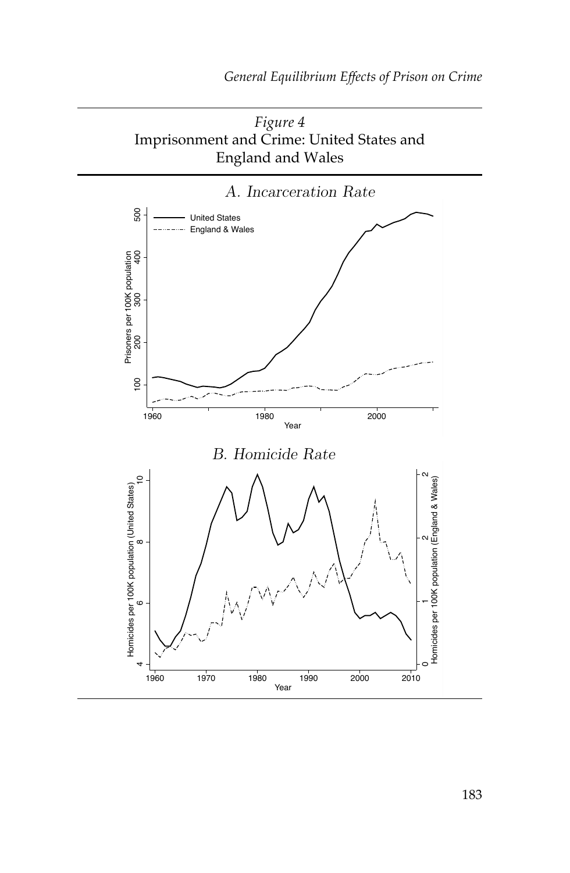



183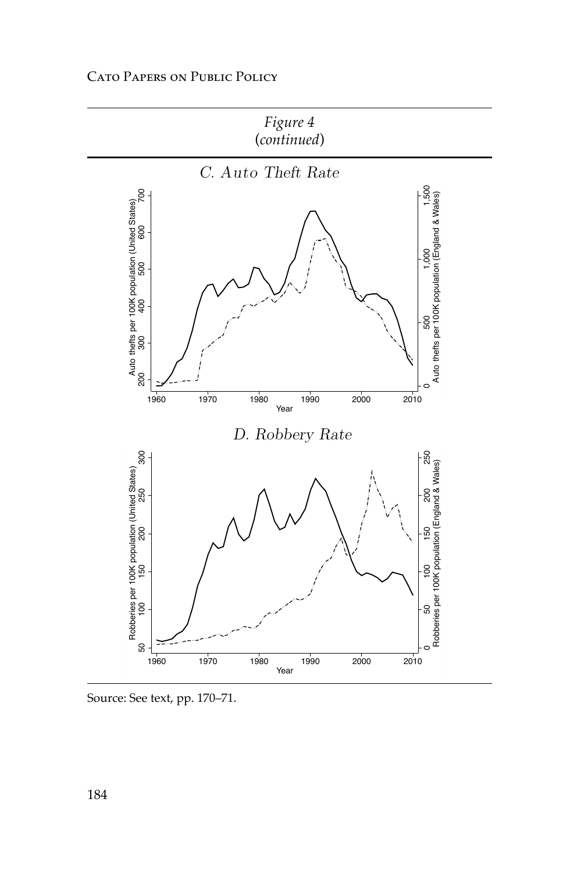

Source: See text, pp. 170–71.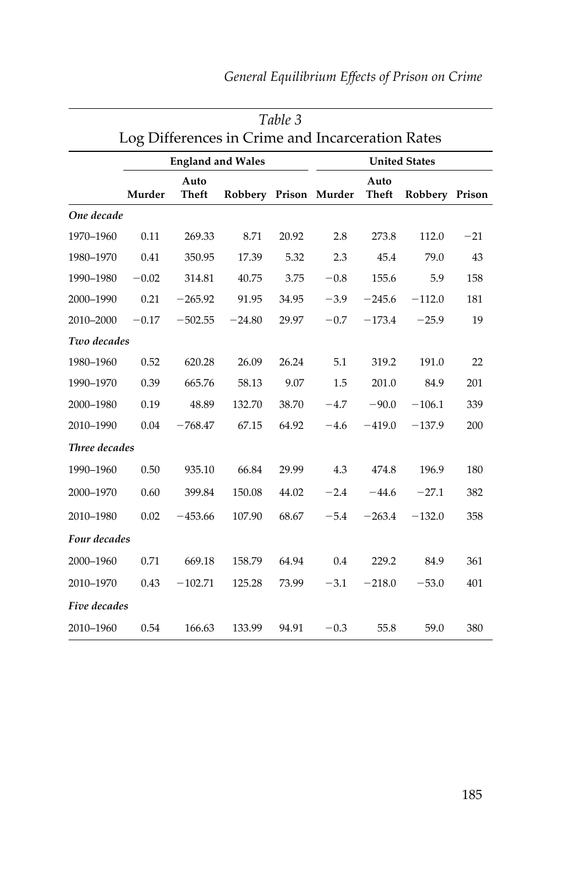|               | Table 3                                          |                          |                       |       |        |               |                      |       |
|---------------|--------------------------------------------------|--------------------------|-----------------------|-------|--------|---------------|----------------------|-------|
|               | Log Differences in Crime and Incarceration Rates |                          |                       |       |        |               |                      |       |
|               |                                                  | <b>England and Wales</b> |                       |       |        |               | <b>United States</b> |       |
|               | Murder                                           | Auto<br>Theft            | Robbery Prison Murder |       |        | Auto<br>Theft | Robbery Prison       |       |
| One decade    |                                                  |                          |                       |       |        |               |                      |       |
| 1970-1960     | 0.11                                             | 269.33                   | 8.71                  | 20.92 | 2.8    | 273.8         | 112.0                | $-21$ |
| 1980-1970     | 0.41                                             | 350.95                   | 17.39                 | 5.32  | 2.3    | 45.4          | 79.0                 | 43    |
| 1990-1980     | $-0.02$                                          | 314.81                   | 40.75                 | 3.75  | $-0.8$ | 155.6         | 5.9                  | 158   |
| 2000-1990     | 0.21                                             | $-265.92$                | 91.95                 | 34.95 | $-3.9$ | $-245.6$      | $-112.0$             | 181   |
| 2010-2000     | $-0.17$                                          | $-502.55$                | $-24.80$              | 29.97 | $-0.7$ | $-173.4$      | $-25.9$              | 19    |
| Two decades   |                                                  |                          |                       |       |        |               |                      |       |
| 1980-1960     | 0.52                                             | 620.28                   | 26.09                 | 26.24 | 5.1    | 319.2         | 191.0                | 22    |
| 1990-1970     | 0.39                                             | 665.76                   | 58.13                 | 9.07  | 1.5    | 201.0         | 84.9                 | 201   |
| 2000-1980     | 0.19                                             | 48.89                    | 132.70                | 38.70 | $-4.7$ | $-90.0$       | $-106.1$             | 339   |
| 2010-1990     | 0.04                                             | $-768.47$                | 67.15                 | 64.92 | $-4.6$ | $-419.0$      | $-137.9$             | 200   |
| Three decades |                                                  |                          |                       |       |        |               |                      |       |
| 1990-1960     | 0.50                                             | 935.10                   | 66.84                 | 29.99 | 4.3    | 474.8         | 196.9                | 180   |
| 2000-1970     | 0.60                                             | 399.84                   | 150.08                | 44.02 | $-2.4$ | $-44.6$       | $-27.1$              | 382   |
| 2010-1980     | 0.02                                             | $-453.66$                | 107.90                | 68.67 | $-5.4$ | $-263.4$      | $-132.0$             | 358   |
| Four decades  |                                                  |                          |                       |       |        |               |                      |       |
| 2000-1960     | 0.71                                             | 669.18                   | 158.79                | 64.94 | 0.4    | 229.2         | 84.9                 | 361   |
| 2010-1970     | 0.43                                             | $-102.71$                | 125.28                | 73.99 | $-3.1$ | $-218.0$      | $-53.0$              | 401   |
| Five decades  |                                                  |                          |                       |       |        |               |                      |       |
| 2010-1960     | 0.54                                             | 166.63                   | 133.99                | 94.91 | $-0.3$ | 55.8          | 59.0                 | 380   |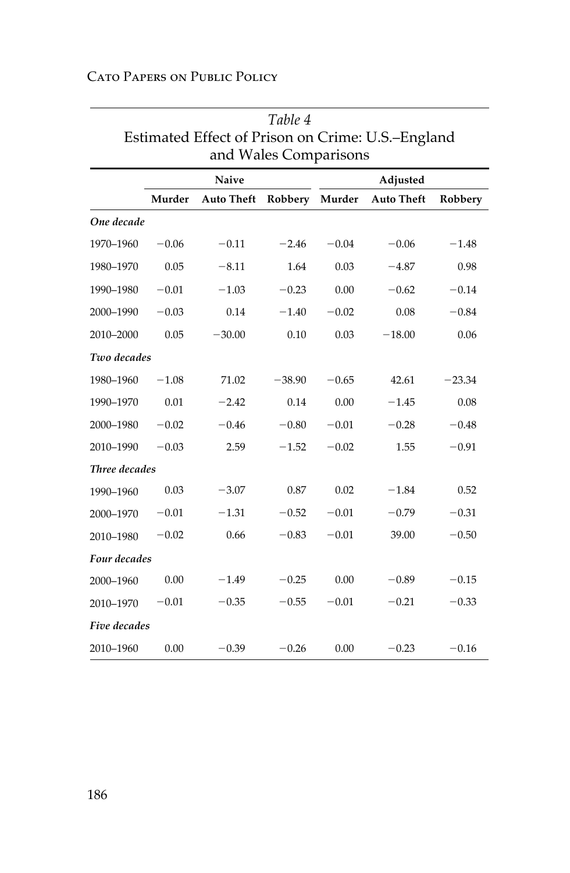| Cato Papers on Public Policy |  |  |
|------------------------------|--|--|
|------------------------------|--|--|

| Estimated Effect of Prison on Crime: U.S.-England<br>and Wales Comparisons |         |                   |          |         |                   |          |  |
|----------------------------------------------------------------------------|---------|-------------------|----------|---------|-------------------|----------|--|
|                                                                            |         | Naive             |          |         | Adjusted          |          |  |
|                                                                            | Murder  | <b>Auto Theft</b> | Robbery  | Murder  | <b>Auto Theft</b> | Robbery  |  |
| One decade                                                                 |         |                   |          |         |                   |          |  |
| 1970-1960                                                                  | $-0.06$ | $-0.11$           | $-2.46$  | $-0.04$ | $-0.06$           | $-1.48$  |  |
| 1980-1970                                                                  | 0.05    | $-8.11$           | 1.64     | 0.03    | $-4.87$           | 0.98     |  |
| 1990-1980                                                                  | $-0.01$ | $-1.03$           | $-0.23$  | 0.00    | $-0.62$           | $-0.14$  |  |
| 2000-1990                                                                  | $-0.03$ | 0.14              | $-1.40$  | $-0.02$ | 0.08              | $-0.84$  |  |
| 2010-2000                                                                  | 0.05    | $-30.00$          | 0.10     | 0.03    | $-18.00$          | 0.06     |  |
| Two decades                                                                |         |                   |          |         |                   |          |  |
| 1980-1960                                                                  | $-1.08$ | 71.02             | $-38.90$ | $-0.65$ | 42.61             | $-23.34$ |  |
| 1990-1970                                                                  | 0.01    | $-2.42$           | 0.14     | 0.00    | $-1.45$           | 0.08     |  |
| 2000-1980                                                                  | $-0.02$ | $-0.46$           | $-0.80$  | $-0.01$ | $-0.28$           | $-0.48$  |  |
| 2010-1990                                                                  | $-0.03$ | 2.59              | $-1.52$  | $-0.02$ | 1.55              | $-0.91$  |  |
| Three decades                                                              |         |                   |          |         |                   |          |  |
| 1990-1960                                                                  | 0.03    | $-3.07$           | 0.87     | 0.02    | $-1.84$           | 0.52     |  |
| 2000-1970                                                                  | $-0.01$ | $-1.31$           | $-0.52$  | $-0.01$ | $-0.79$           | $-0.31$  |  |
| 2010-1980                                                                  | $-0.02$ | 0.66              | $-0.83$  | $-0.01$ | 39.00             | $-0.50$  |  |
| Four decades                                                               |         |                   |          |         |                   |          |  |
| 2000-1960                                                                  | 0.00    | $-1.49$           | $-0.25$  | 0.00    | $-0.89$           | $-0.15$  |  |
| 2010-1970                                                                  | $-0.01$ | $-0.35$           | $-0.55$  | $-0.01$ | $-0.21$           | $-0.33$  |  |
| Five decades                                                               |         |                   |          |         |                   |          |  |
| 2010-1960                                                                  | 0.00    | $-0.39$           | $-0.26$  | 0.00    | $-0.23$           | $-0.16$  |  |

| Table 4                                           |
|---------------------------------------------------|
| Estimated Effect of Prison on Crime: U.S.-England |
| and Wales Comparisons                             |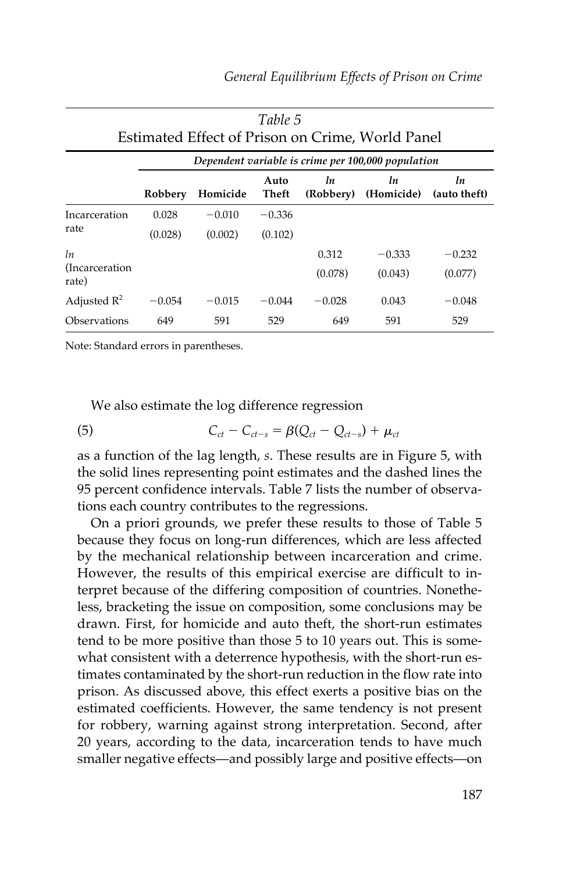| Table 5<br>Estimated Effect of Prison on Crime, World Panel |          |                                                    |               |                 |                  |                    |  |  |
|-------------------------------------------------------------|----------|----------------------------------------------------|---------------|-----------------|------------------|--------------------|--|--|
|                                                             |          | Dependent variable is crime per 100,000 population |               |                 |                  |                    |  |  |
|                                                             | Robbery  | Homicide                                           | Auto<br>Theft | ln<br>(Robbery) | ln<br>(Homicide) | ln<br>(auto theft) |  |  |
| Incarceration                                               | 0.028    | $-0.010$                                           | $-0.336$      |                 |                  |                    |  |  |
| rate                                                        | (0.028)  | (0.002)                                            | (0.102)       |                 |                  |                    |  |  |
| ln                                                          |          |                                                    |               | 0.312           | $-0.333$         | $-0.232$           |  |  |
| (Incarceration)<br>rate)                                    |          |                                                    |               | (0.078)         | (0.043)          | (0.077)            |  |  |
| Adjusted $R^2$                                              | $-0.054$ | $-0.015$                                           | $-0.044$      | $-0.028$        | 0.043            | $-0.048$           |  |  |
| Observations                                                | 649      | 591                                                | 529           | 649             | 591              | 529                |  |  |

Note: Standard errors in parentheses.

We also estimate the log difference regression

(5) 
$$
C_{ct} - C_{ct-s} = \beta (Q_{ct} - Q_{ct-s}) + \mu_{ct}
$$

 as a function of the lag length, *s* . These results are in Figure 5, with the solid lines representing point estimates and the dashed lines the 95 percent confidence intervals. Table 7 lists the number of observations each country contributes to the regressions.

 On a priori grounds, we prefer these results to those of Table 5 because they focus on long-run differences, which are less affected by the mechanical relationship between incarceration and crime. However, the results of this empirical exercise are difficult to interpret because of the differing composition of countries. Nonetheless, bracketing the issue on composition, some conclusions may be drawn. First, for homicide and auto theft, the short-run estimates tend to be more positive than those 5 to 10 years out. This is somewhat consistent with a deterrence hypothesis, with the short-run estimates contaminated by the short-run reduction in the flow rate into prison. As discussed above, this effect exerts a positive bias on the estimated coefficients. However, the same tendency is not present for robbery, warning against strong interpretation. Second, after 20 years, according to the data, incarceration tends to have much smaller negative effects—and possibly large and positive effects—on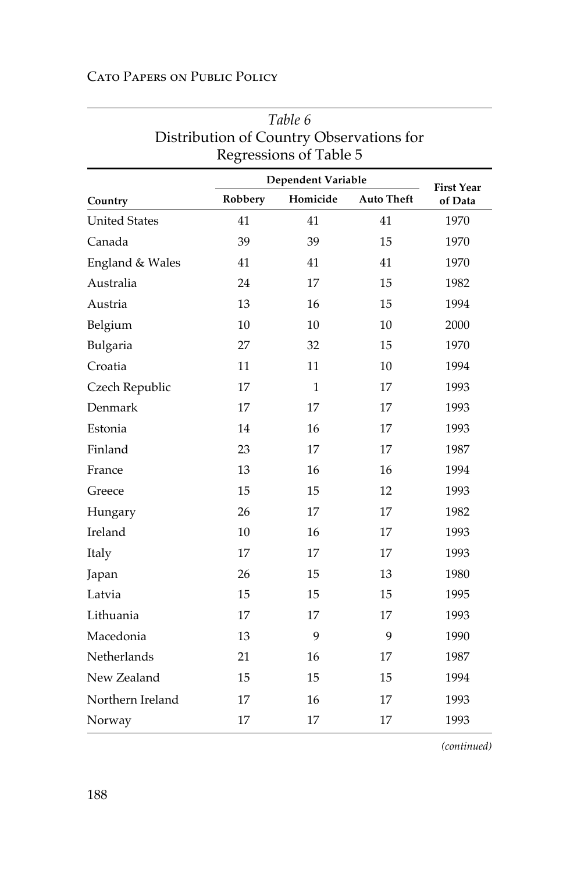| CATO PAPERS ON PUBLIC POLICY |  |  |
|------------------------------|--|--|
|------------------------------|--|--|

|                      |         | Regressions of Table 5 |                   |                              |  |  |  |
|----------------------|---------|------------------------|-------------------|------------------------------|--|--|--|
|                      |         | Dependent Variable     |                   |                              |  |  |  |
| Country              | Robbery | Homicide               | <b>Auto Theft</b> | <b>First Year</b><br>of Data |  |  |  |
| <b>United States</b> | 41      | 41                     | 41                | 1970                         |  |  |  |
| Canada               | 39      | 39                     | 15                | 1970                         |  |  |  |
| England & Wales      | 41      | 41                     | 41                | 1970                         |  |  |  |
| Australia            | 24      | 17                     | 15                | 1982                         |  |  |  |
| Austria              | 13      | 16                     | 15                | 1994                         |  |  |  |
| Belgium              | 10      | 10                     | 10                | 2000                         |  |  |  |
| Bulgaria             | 27      | 32                     | 15                | 1970                         |  |  |  |
| Croatia              | 11      | 11                     | 10                | 1994                         |  |  |  |
| Czech Republic       | 17      | $\mathbf{1}$           | 17                | 1993                         |  |  |  |
| Denmark              | 17      | 17                     | 17                | 1993                         |  |  |  |
| Estonia              | 14      | 16                     | 17                | 1993                         |  |  |  |
| Finland              | 23      | 17                     | 17                | 1987                         |  |  |  |
| France               | 13      | 16                     | 16                | 1994                         |  |  |  |
| Greece               | 15      | 15                     | 12                | 1993                         |  |  |  |
| Hungary              | 26      | 17                     | 17                | 1982                         |  |  |  |
| Ireland              | 10      | 16                     | 17                | 1993                         |  |  |  |
| Italy                | 17      | 17                     | 17                | 1993                         |  |  |  |
| Japan                | 26      | 15                     | 13                | 1980                         |  |  |  |
| Latvia               | 15      | 15                     | 15                | 1995                         |  |  |  |
| Lithuania            | 17      | 17                     | 17                | 1993                         |  |  |  |
| Macedonia            | 13      | 9                      | 9                 | 1990                         |  |  |  |
| Netherlands          | 21      | 16                     | 17                | 1987                         |  |  |  |
| New Zealand          | 15      | 15                     | 15                | 1994                         |  |  |  |
| Northern Ireland     | 17      | 16                     | 17                | 1993                         |  |  |  |
| Norway               | 17      | 17                     | 17                | 1993                         |  |  |  |

## *Table 6* Distribution of Country Observations for Regressions of Table 5

*(continued)*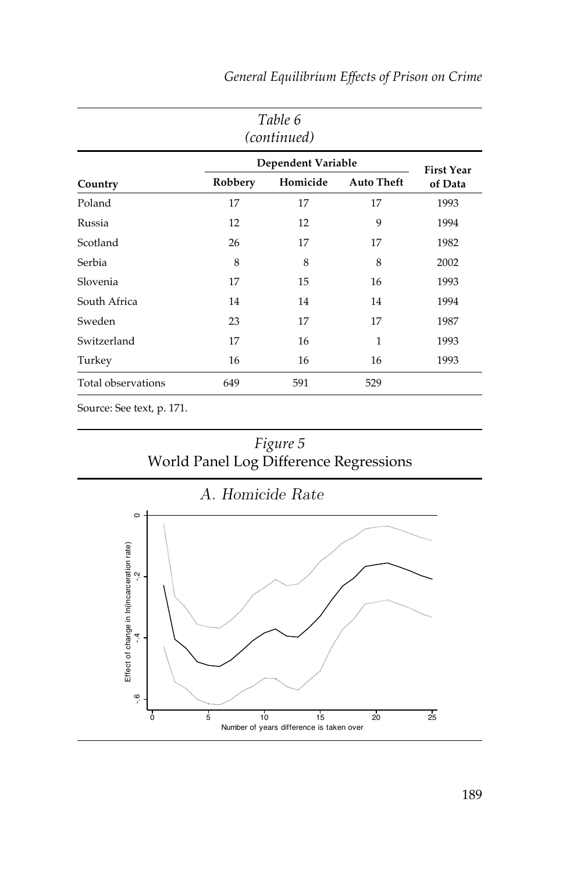| Table 6<br>(continued) |         |          |                   |                              |  |  |
|------------------------|---------|----------|-------------------|------------------------------|--|--|
| Dependent Variable     |         |          |                   |                              |  |  |
| Country                | Robbery | Homicide | <b>Auto Theft</b> | <b>First Year</b><br>of Data |  |  |
| Poland                 | 17      | 17       | 17                | 1993                         |  |  |
| Russia                 | 12      | 12       | 9                 | 1994                         |  |  |
| Scotland               | 26      | 17       | 17                | 1982                         |  |  |
| Serbia                 | 8       | 8        | 8                 | 2002                         |  |  |
| Slovenia               | 17      | 15       | 16                | 1993                         |  |  |
| South Africa           | 14      | 14       | 14                | 1994                         |  |  |
| Sweden                 | 23      | 17       | 17                | 1987                         |  |  |
| Switzerland            | 17      | 16       | 1                 | 1993                         |  |  |
| Turkey                 | 16      | 16       | 16                | 1993                         |  |  |
| Total observations     | 649     | 591      | 529               |                              |  |  |

*General Equilibrium Effects of Prison on Crime*

Source: See text, p. 171.



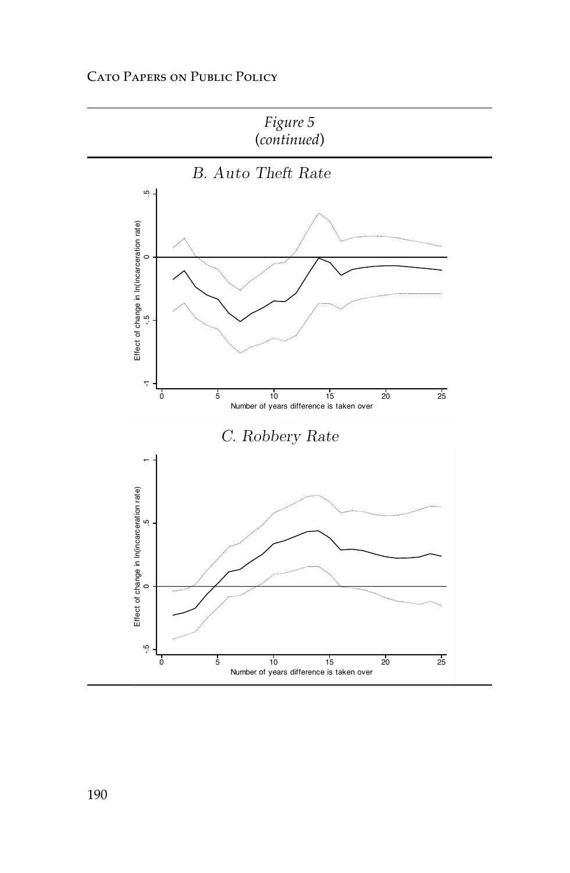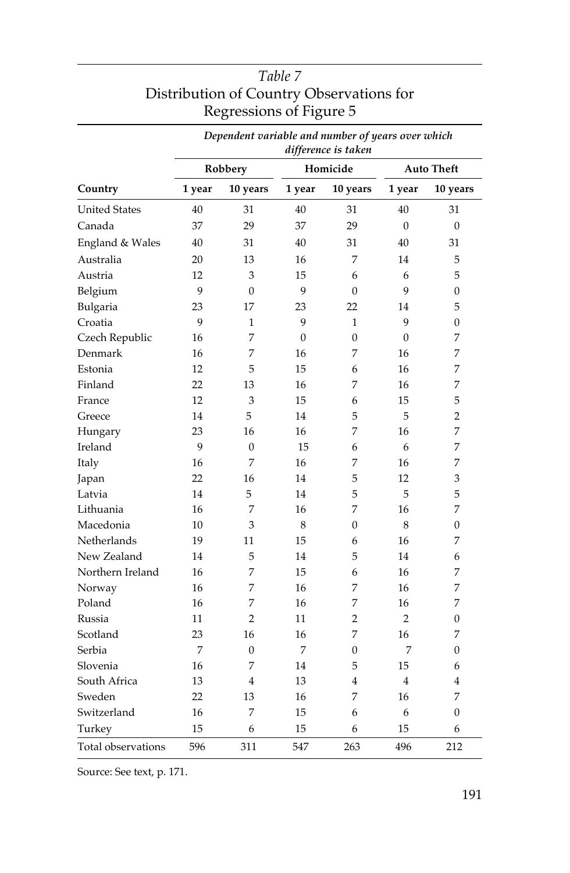|                      |         |                | Dependent variable and number of years over which<br>difference is taken |                |                   |              |  |
|----------------------|---------|----------------|--------------------------------------------------------------------------|----------------|-------------------|--------------|--|
|                      | Robbery |                |                                                                          | Homicide       | <b>Auto Theft</b> |              |  |
| Country              | 1 year  | 10 years       | 1 year                                                                   | 10 years       | 1 year            | 10 years     |  |
| <b>United States</b> | 40      | 31             | 40                                                                       | 31             | 40                | 31           |  |
| Canada               | 37      | 29             | 37                                                                       | 29             | $\mathbf{0}$      | $\mathbf{0}$ |  |
| England & Wales      | 40      | 31             | 40                                                                       | 31             | 40                | 31           |  |
| Australia            | 20      | 13             | 16                                                                       | 7              | 14                | 5            |  |
| Austria              | 12      | 3              | 15                                                                       | 6              | 6                 | 5            |  |
| Belgium              | 9       | $\overline{0}$ | 9                                                                        | $\mathbf{0}$   | 9                 | 0            |  |
| Bulgaria             | 23      | 17             | 23                                                                       | 22             | 14                | 5            |  |
| Croatia              | 9       | 1              | 9                                                                        | 1              | 9                 | 0            |  |
| Czech Republic       | 16      | 7              | $\mathbf{0}$                                                             | $\overline{0}$ | 0                 | 7            |  |
| Denmark              | 16      | 7              | 16                                                                       | 7              | 16                | 7            |  |
| Estonia              | 12      | 5              | 15                                                                       | 6              | 16                | 7            |  |
| Finland              | 22      | 13             | 16                                                                       | 7              | 16                | 7            |  |
| France               | 12      | 3              | 15                                                                       | 6              | 15                | 5            |  |
| Greece               | 14      | 5              | 14                                                                       | 5              | 5                 | 2            |  |
| Hungary              | 23      | 16             | 16                                                                       | 7              | 16                | 7            |  |
| Ireland              | 9       | 0              | 15                                                                       | 6              | 6                 | 7            |  |
| Italy                | 16      | 7              | 16                                                                       | 7              | 16                | 7            |  |
| Japan                | 22      | 16             | 14                                                                       | 5              | 12                | 3            |  |
| Latvia               | 14      | 5              | 14                                                                       | 5              | 5                 | 5            |  |
| Lithuania            | 16      | 7              | 16                                                                       | 7              | 16                | 7            |  |
| Macedonia            | 10      | 3              | 8                                                                        | 0              | 8                 | 0            |  |
| Netherlands          | 19      | 11             | 15                                                                       | 6              | 16                | 7            |  |
| New Zealand          | 14      | 5              | 14                                                                       | 5              | 14                | 6            |  |
| Northern Ireland     | 16      | 7              | 15                                                                       | 6              | 16                | 7            |  |
| Norway               | 16      | 7              | 16                                                                       | 7              | 16                | 7            |  |
| Poland               | 16      | 7              | 16                                                                       | 7              | 16                | 7            |  |
| Russia               | 11      | 2              | 11                                                                       | 2              | 2                 | 0            |  |
| Scotland             | 23      | 16             | 16                                                                       | 7              | 16                | 7            |  |
| Serbia               | 7       | $\overline{0}$ | 7                                                                        | 0              | 7                 | 0            |  |
| Slovenia             | 16      | 7              | 14                                                                       | 5              | 15                | 6            |  |
| South Africa         | 13      | 4              | 13                                                                       | 4              | 4                 | 4            |  |
| Sweden               | 22      | 13             | 16                                                                       | 7              | 16                | 7            |  |
| Switzerland          | 16      | 7              | 15                                                                       | 6              | 6                 | 0            |  |
| Turkey               | 15      | 6              | 15                                                                       | 6              | 15                | 6            |  |
| Total observations   | 596     | 311            | 547                                                                      | 263            | 496               | 212          |  |

## *Table 7* Distribution of Country Observations for Regressions of Figure 5

Source: See text, p. 171.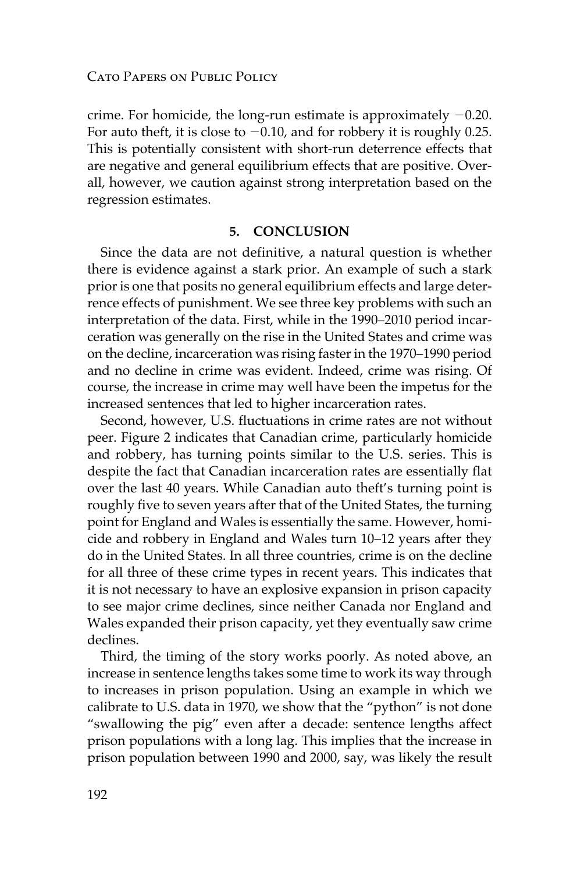crime. For homicide, the long-run estimate is approximately  $-0.20$ . For auto theft, it is close to  $-0.10$ , and for robbery it is roughly 0.25. This is potentially consistent with short-run deterrence effects that are negative and general equilibrium effects that are positive. Overall, however, we caution against strong interpretation based on the regression estimates.

#### **5. CONCLUSION**

 Since the data are not definitive, a natural question is whether there is evidence against a stark prior. An example of such a stark prior is one that posits no general equilibrium effects and large deterrence effects of punishment. We see three key problems with such an interpretation of the data. First, while in the 1990–2010 period incarceration was generally on the rise in the United States and crime was on the decline, incarceration was rising faster in the 1970–1990 period and no decline in crime was evident. Indeed, crime was rising. Of course, the increase in crime may well have been the impetus for the increased sentences that led to higher incarceration rates.

 Second, however, U.S. fluctuations in crime rates are not without peer. Figure 2 indicates that Canadian crime, particularly homicide and robbery, has turning points similar to the U.S. series. This is despite the fact that Canadian incarceration rates are essentially flat over the last 40 years. While Canadian auto theft's turning point is roughly five to seven years after that of the United States, the turning point for England and Wales is essentially the same. However, homicide and robbery in England and Wales turn 10–12 years after they do in the United States. In all three countries, crime is on the decline for all three of these crime types in recent years. This indicates that it is not necessary to have an explosive expansion in prison capacity to see major crime declines, since neither Canada nor England and Wales expanded their prison capacity, yet they eventually saw crime declines.

 Third, the timing of the story works poorly. As noted above, an increase in sentence lengths takes some time to work its way through to increases in prison population. Using an example in which we calibrate to U.S. data in 1970, we show that the "python" is not done "swallowing the pig" even after a decade: sentence lengths affect prison populations with a long lag. This implies that the increase in prison population between 1990 and 2000, say, was likely the result